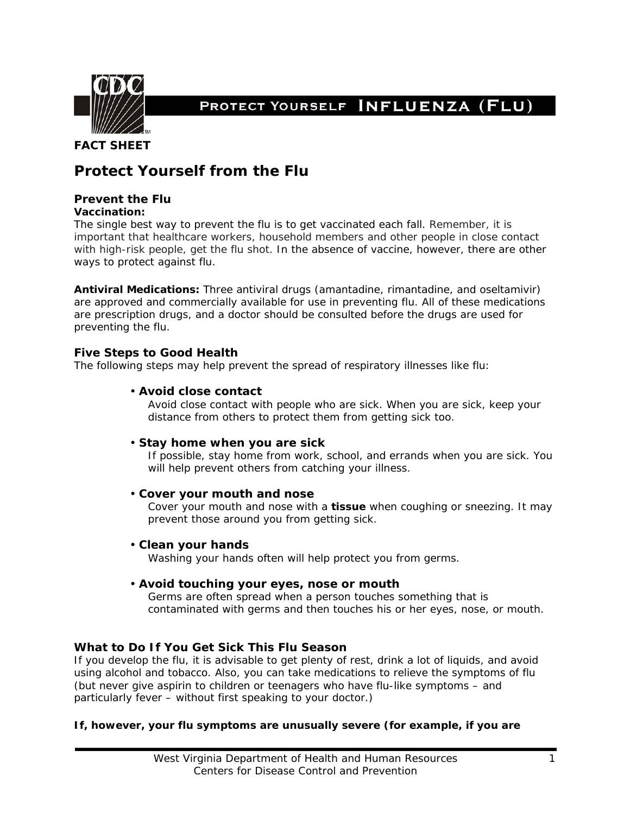

PROTECT YOURSELF INFLUENZA (FLU)

## **FACT SHEET**

# **Protect Yourself from the Flu**

## **Prevent the Flu**

#### **Vaccination:**

The single best way to prevent the flu is to get vaccinated each fall. Remember, it is important that healthcare workers, household members and other people in close contact with high-risk people, get the flu shot. In the absence of vaccine, however, there are other ways to protect against flu.

**Antiviral Medications:** Three antiviral drugs (amantadine, rimantadine, and oseltamivir) are approved and commercially available for use in preventing flu. All of these medications are prescription drugs, and a doctor should be consulted before the drugs are used for preventing the flu.

### **Five Steps to Good Health**

The following steps may help prevent the spread of respiratory illnesses like flu:

#### • *Avoid close contact*

Avoid close contact with people who are sick. When you are sick, keep your distance from others to protect them from getting sick too.

#### • *Stay home when you are sick*

If possible, stay home from work, school, and errands when you are sick. You will help prevent others from catching your illness.

#### • *Cover your mouth and nose*

Cover your mouth and nose with a **tissue** when coughing or sneezing. It may prevent those around you from getting sick.

#### • *Clean your hands*

Washing your hands often will help protect you from germs.

## • *Avoid touching your eyes, nose or mouth*

Germs are often spread when a person touches something that is contaminated with germs and then touches his or her eyes, nose, or mouth.

## **What to Do If You Get Sick This Flu Season**

If you develop the flu, it is advisable to get plenty of rest, drink a lot of liquids, and avoid using alcohol and tobacco. Also, you can take medications to relieve the symptoms of flu (but *never* give aspirin to children or teenagers who have flu-like symptoms – and particularly fever – without first speaking to your doctor.)

#### **If, however, your flu symptoms are unusually severe (for example, if you are**